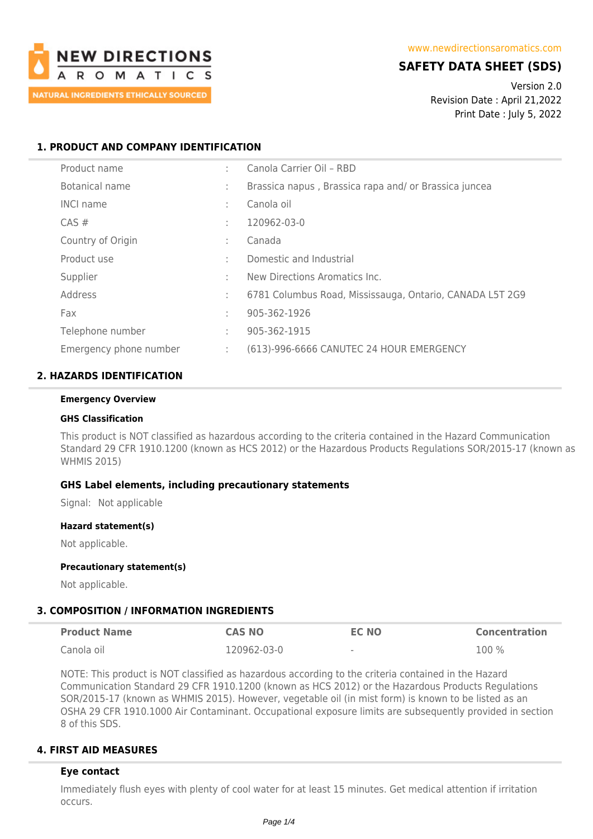

# **SAFETY DATA SHEET (SDS)**

Version 2.0 Revision Date : April 21,2022 Print Date : July 5, 2022

## **1. PRODUCT AND COMPANY IDENTIFICATION**

| Product name           | ٠      | Canola Carrier Oil - RBD                                 |
|------------------------|--------|----------------------------------------------------------|
| Botanical name         | ٠      | Brassica napus, Brassica rapa and/or Brassica juncea     |
| <b>INCI name</b>       | ÷      | Canola oil                                               |
| $CAS \#$               | ÷      | 120962-03-0                                              |
| Country of Origin      | $\sim$ | Canada                                                   |
| Product use            | $\sim$ | Domestic and Industrial                                  |
| Supplier               | ٠      | New Directions Aromatics Inc.                            |
| Address                | ÷      | 6781 Columbus Road, Mississauga, Ontario, CANADA L5T 2G9 |
| Fax                    | ٠      | 905-362-1926                                             |
| Telephone number       | ÷      | 905-362-1915                                             |
| Emergency phone number | ÷      | (613)-996-6666 CANUTEC 24 HOUR EMERGENCY                 |

## **2. HAZARDS IDENTIFICATION**

#### **Emergency Overview**

#### **GHS Classification**

This product is NOT classified as hazardous according to the criteria contained in the Hazard Communication Standard 29 CFR 1910.1200 (known as HCS 2012) or the Hazardous Products Regulations SOR/2015-17 (known as WHMIS 2015)

### **GHS Label elements, including precautionary statements**

Signal: Not applicable

#### **Hazard statement(s)**

Not applicable.

#### **Precautionary statement(s)**

Not applicable.

#### **3. COMPOSITION / INFORMATION INGREDIENTS**

| <b>Product Name</b> | <b>CAS NO</b> | EC NO  | <b>Concentration</b> |
|---------------------|---------------|--------|----------------------|
| Canola oil          | 120962-03-0   | $\sim$ | 100 %                |

NOTE: This product is NOT classified as hazardous according to the criteria contained in the Hazard Communication Standard 29 CFR 1910.1200 (known as HCS 2012) or the Hazardous Products Regulations SOR/2015-17 (known as WHMIS 2015). However, vegetable oil (in mist form) is known to be listed as an OSHA 29 CFR 1910.1000 Air Contaminant. Occupational exposure limits are subsequently provided in section 8 of this SDS.

### **4. FIRST AID MEASURES**

#### **Eye contact**

Immediately flush eyes with plenty of cool water for at least 15 minutes. Get medical attention if irritation occurs.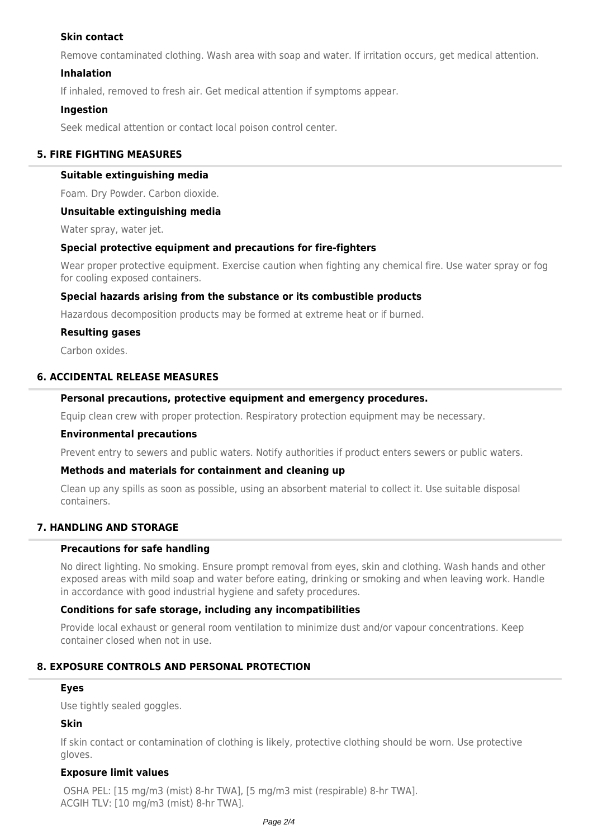## **Skin contact**

Remove contaminated clothing. Wash area with soap and water. If irritation occurs, get medical attention.

### **Inhalation**

If inhaled, removed to fresh air. Get medical attention if symptoms appear.

### **Ingestion**

Seek medical attention or contact local poison control center.

### **5. FIRE FIGHTING MEASURES**

#### **Suitable extinguishing media**

Foam. Dry Powder. Carbon dioxide.

### **Unsuitable extinguishing media**

Water spray, water jet.

#### **Special protective equipment and precautions for fire-fighters**

Wear proper protective equipment. Exercise caution when fighting any chemical fire. Use water spray or fog for cooling exposed containers.

### **Special hazards arising from the substance or its combustible products**

Hazardous decomposition products may be formed at extreme heat or if burned.

### **Resulting gases**

Carbon oxides.

# **6. ACCIDENTAL RELEASE MEASURES**

### **Personal precautions, protective equipment and emergency procedures.**

Equip clean crew with proper protection. Respiratory protection equipment may be necessary.

#### **Environmental precautions**

Prevent entry to sewers and public waters. Notify authorities if product enters sewers or public waters.

### **Methods and materials for containment and cleaning up**

Clean up any spills as soon as possible, using an absorbent material to collect it. Use suitable disposal containers.

### **7. HANDLING AND STORAGE**

### **Precautions for safe handling**

No direct lighting. No smoking. Ensure prompt removal from eyes, skin and clothing. Wash hands and other exposed areas with mild soap and water before eating, drinking or smoking and when leaving work. Handle in accordance with good industrial hygiene and safety procedures.

### **Conditions for safe storage, including any incompatibilities**

Provide local exhaust or general room ventilation to minimize dust and/or vapour concentrations. Keep container closed when not in use.

## **8. EXPOSURE CONTROLS AND PERSONAL PROTECTION**

### **Eyes**

Use tightly sealed goggles.

### **Skin**

If skin contact or contamination of clothing is likely, protective clothing should be worn. Use protective gloves.

### **Exposure limit values**

 OSHA PEL: [15 mg/m3 (mist) 8-hr TWA], [5 mg/m3 mist (respirable) 8-hr TWA]. ACGIH TLV: [10 mg/m3 (mist) 8-hr TWA].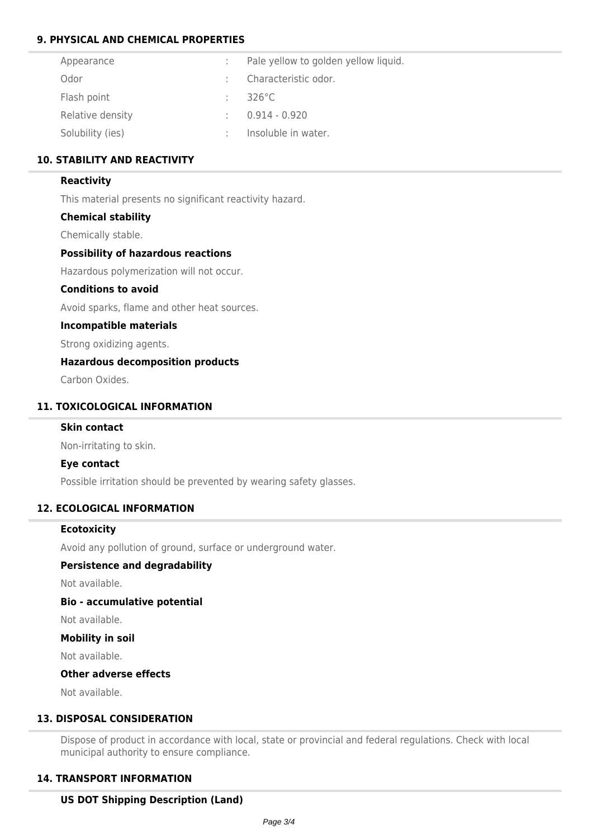## **9. PHYSICAL AND CHEMICAL PROPERTIES**

| Appearance       | Pale yellow to golden yellow liquid. |
|------------------|--------------------------------------|
| Odor             | Characteristic odor.                 |
| Flash point      | $326^{\circ}$ C                      |
| Relative density | $0.914 - 0.920$                      |
| Solubility (ies) | Insoluble in water.                  |

## **10. STABILITY AND REACTIVITY**

## **Reactivity**

This material presents no significant reactivity hazard.

## **Chemical stability**

Chemically stable.

## **Possibility of hazardous reactions**

Hazardous polymerization will not occur.

### **Conditions to avoid**

Avoid sparks, flame and other heat sources.

### **Incompatible materials**

Strong oxidizing agents.

## **Hazardous decomposition products**

Carbon Oxides.

## **11. TOXICOLOGICAL INFORMATION**

### **Skin contact**

Non-irritating to skin.

### **Eye contact**

Possible irritation should be prevented by wearing safety glasses.

### **12. ECOLOGICAL INFORMATION**

### **Ecotoxicity**

Avoid any pollution of ground, surface or underground water.

### **Persistence and degradability**

Not available.

### **Bio - accumulative potential**

Not available.

## **Mobility in soil**

Not available.

### **Other adverse effects**

Not available.

### **13. DISPOSAL CONSIDERATION**

Dispose of product in accordance with local, state or provincial and federal regulations. Check with local municipal authority to ensure compliance.

## **14. TRANSPORT INFORMATION**

### **US DOT Shipping Description (Land)**